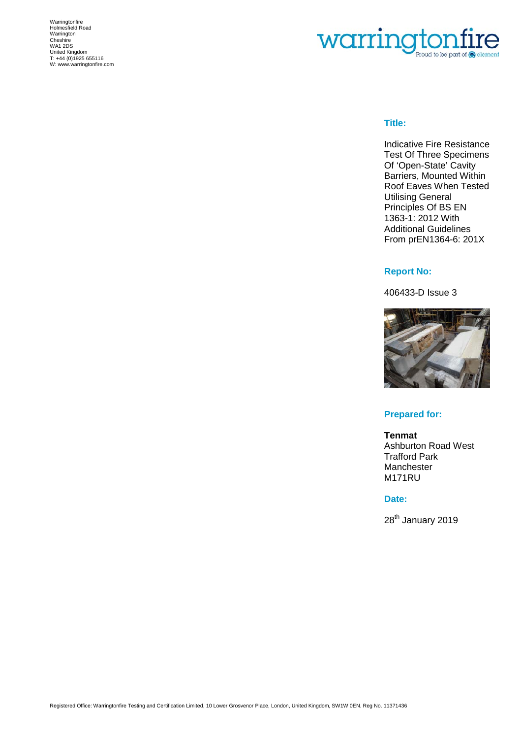Warringtonfire Holmesfield Road Warrington Cheshire WA1 2DS United Kingdom T: +44 (0)1925 655116 W[: www.warringtonfire.com](http://www.warringtonfire.com/)



## **Title:**

Indicative Fire Resistance Test Of Three Specimens Of 'Open-State' Cavity Barriers, Mounted Within Roof Eaves When Tested Utilising General Principles Of BS EN 1363-1: 2012 With Additional Guidelines From prEN1364-6: 201X

### **Report No:**

406433-D Issue 3



## **Prepared for:**

**Tenmat** Ashburton Road West Trafford Park Manchester M171RU

# **Date:**

28<sup>th</sup> January 2019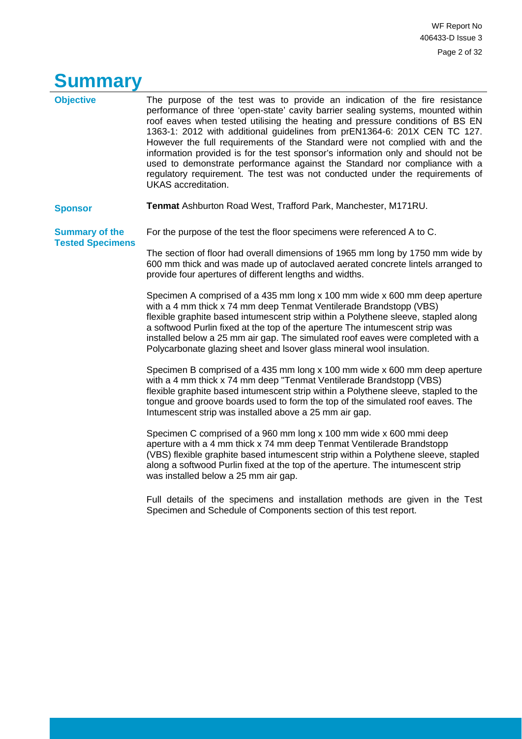# <span id="page-1-0"></span>**Summary**

| <b>Objective</b>                                 | The purpose of the test was to provide an indication of the fire resistance<br>performance of three 'open-state' cavity barrier sealing systems, mounted within<br>roof eaves when tested utilising the heating and pressure conditions of BS EN<br>1363-1: 2012 with additional guidelines from prEN1364-6: 201X CEN TC 127.<br>However the full requirements of the Standard were not complied with and the<br>information provided is for the test sponsor's information only and should not be<br>used to demonstrate performance against the Standard nor compliance with a<br>regulatory requirement. The test was not conducted under the requirements of<br>UKAS accreditation. |
|--------------------------------------------------|-----------------------------------------------------------------------------------------------------------------------------------------------------------------------------------------------------------------------------------------------------------------------------------------------------------------------------------------------------------------------------------------------------------------------------------------------------------------------------------------------------------------------------------------------------------------------------------------------------------------------------------------------------------------------------------------|
| <b>Sponsor</b>                                   | Tenmat Ashburton Road West, Trafford Park, Manchester, M171RU.                                                                                                                                                                                                                                                                                                                                                                                                                                                                                                                                                                                                                          |
| <b>Summary of the</b><br><b>Tested Specimens</b> | For the purpose of the test the floor specimens were referenced A to C.                                                                                                                                                                                                                                                                                                                                                                                                                                                                                                                                                                                                                 |
|                                                  | The section of floor had overall dimensions of 1965 mm long by 1750 mm wide by<br>600 mm thick and was made up of autoclaved aerated concrete lintels arranged to<br>provide four apertures of different lengths and widths.                                                                                                                                                                                                                                                                                                                                                                                                                                                            |
|                                                  | Specimen A comprised of a 435 mm long x 100 mm wide x 600 mm deep aperture<br>with a 4 mm thick x 74 mm deep Tenmat Ventilerade Brandstopp (VBS)<br>flexible graphite based intumescent strip within a Polythene sleeve, stapled along<br>a softwood Purlin fixed at the top of the aperture The intumescent strip was<br>installed below a 25 mm air gap. The simulated roof eaves were completed with a<br>Polycarbonate glazing sheet and Isover glass mineral wool insulation.                                                                                                                                                                                                      |
|                                                  | Specimen B comprised of a 435 mm long x 100 mm wide x 600 mm deep aperture<br>with a 4 mm thick x 74 mm deep "Tenmat Ventilerade Brandstopp (VBS)<br>flexible graphite based intumescent strip within a Polythene sleeve, stapled to the<br>tongue and groove boards used to form the top of the simulated roof eaves. The<br>Intumescent strip was installed above a 25 mm air gap.                                                                                                                                                                                                                                                                                                    |
|                                                  | Specimen C comprised of a 960 mm long x 100 mm wide x 600 mmi deep<br>aperture with a 4 mm thick x 74 mm deep Tenmat Ventilerade Brandstopp<br>(VBS) flexible graphite based intumescent strip within a Polythene sleeve, stapled<br>along a softwood Purlin fixed at the top of the aperture. The intumescent strip<br>was installed below a 25 mm air gap.                                                                                                                                                                                                                                                                                                                            |
|                                                  | Full details of the specimens and installation methods are given in the Test<br>Specimen and Schedule of Components section of this test report.                                                                                                                                                                                                                                                                                                                                                                                                                                                                                                                                        |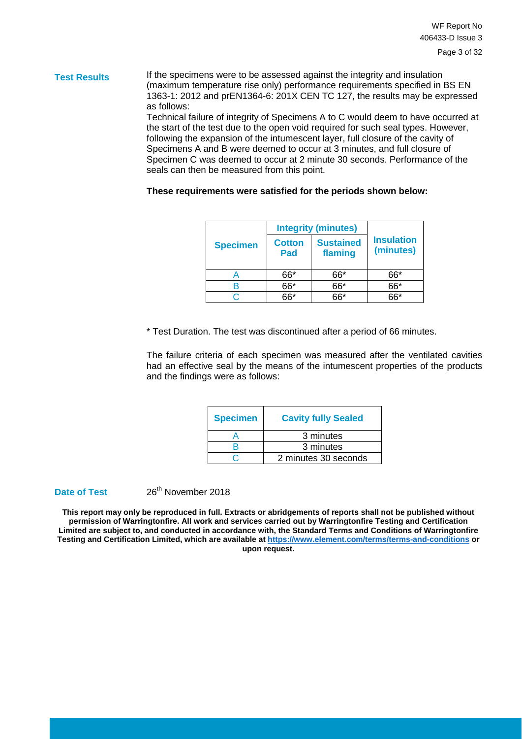### **Test Results** If the specimens were to be assessed against the integrity and insulation (maximum temperature rise only) performance requirements specified in BS EN 1363-1: 2012 and prEN1364-6: 201X CEN TC 127, the results may be expressed as follows:

Technical failure of integrity of Specimens A to C would deem to have occurred at the start of the test due to the open void required for such seal types. However, following the expansion of the intumescent layer, full closure of the cavity of Specimens A and B were deemed to occur at 3 minutes, and full closure of Specimen C was deemed to occur at 2 minute 30 seconds. Performance of the seals can then be measured from this point.

## **These requirements were satisfied for the periods shown below:**

|                 | <b>Integrity (minutes)</b> |                             |                                |
|-----------------|----------------------------|-----------------------------|--------------------------------|
| <b>Specimen</b> | <b>Cotton</b><br>Pad       | <b>Sustained</b><br>flaming | <b>Insulation</b><br>(minutes) |
|                 | 66*                        | 66*                         | 66*                            |
|                 |                            | ิ<br>หล                     | ጽጽ*                            |
|                 |                            |                             |                                |

\* Test Duration. The test was discontinued after a period of 66 minutes.

The failure criteria of each specimen was measured after the ventilated cavities had an effective seal by the means of the intumescent properties of the products and the findings were as follows:

| <b>Specimen</b> | <b>Cavity fully Sealed</b> |
|-----------------|----------------------------|
|                 | 3 minutes                  |
|                 | 3 minutes                  |
|                 | 2 minutes 30 seconds       |

**Date of Test** 26<sup>th</sup> November 2018

**This report may only be reproduced in full. Extracts or abridgements of reports shall not be published without permission of Warringtonfire. All work and services carried out by Warringtonfire Testing and Certification Limited are subject to, and conducted in accordance with, the Standard Terms and Conditions of Warringtonfire Testing and Certification Limited, which are available at <https://www.element.com/terms/terms-and-conditions> or upon request.**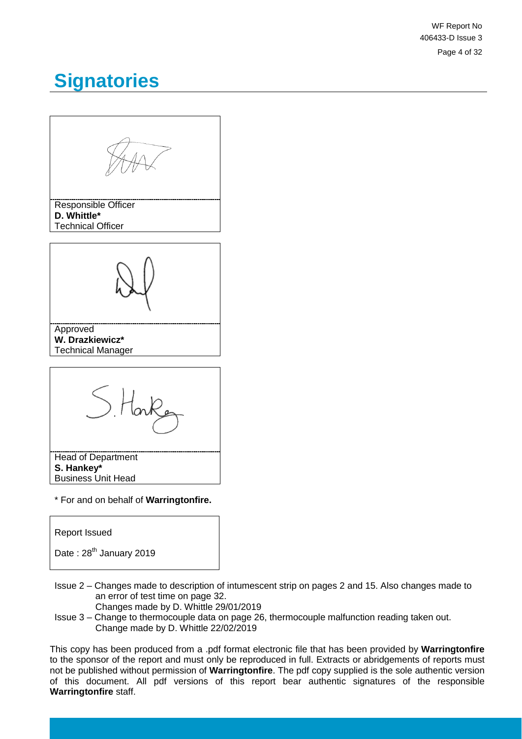WF Report No 406433-D Issue 3 Page 4 of 32

# <span id="page-3-0"></span>**Signatories**



Report Issued

Date:  $28^{th}$  January 2019

- Issue 2 Changes made to description of intumescent strip on pages 2 and 15. Also changes made to an error of test time on page 32. Changes made by D. Whittle 29/01/2019
- Issue 3 Change to thermocouple data on page 26, thermocouple malfunction reading taken out. Change made by D. Whittle 22/02/2019

l,

This copy has been produced from a .pdf format electronic file that has been provided by **Warringtonfire** to the sponsor of the report and must only be reproduced in full. Extracts or abridgements of reports must not be published without permission of **Warringtonfire**. The pdf copy supplied is the sole authentic version of this document. All pdf versions of this report bear authentic signatures of the responsible **Warringtonfire** staff.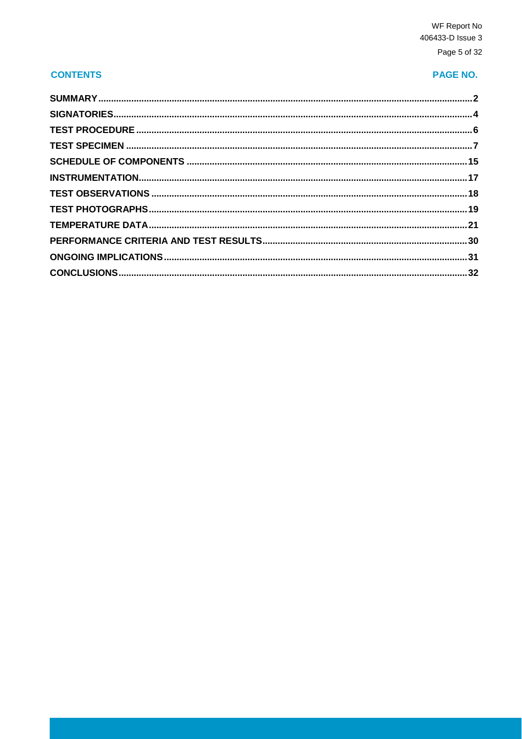# **CONTENTS**

# PAGE NO.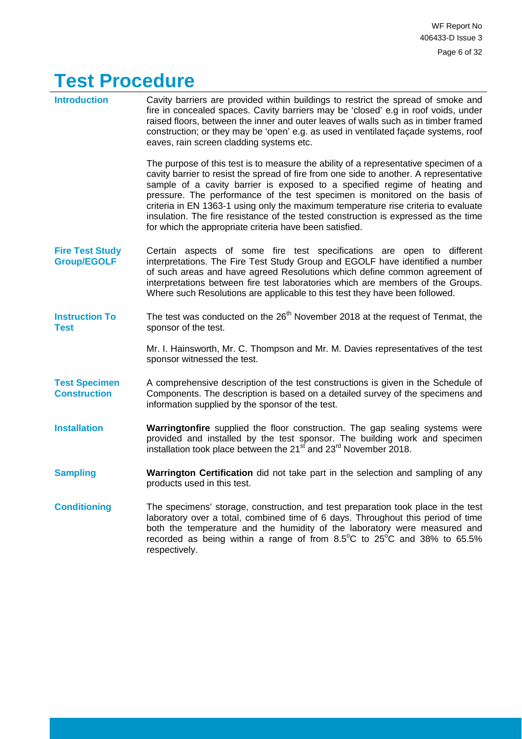# <span id="page-5-0"></span>**Test Procedure**

| <b>Introduction</b>                          | Cavity barriers are provided within buildings to restrict the spread of smoke and<br>fire in concealed spaces. Cavity barriers may be 'closed' e.g in roof voids, under<br>raised floors, between the inner and outer leaves of walls such as in timber framed<br>construction; or they may be 'open' e.g. as used in ventilated façade systems, roof<br>eaves, rain screen cladding systems etc.                                                                                                                                                                                   |
|----------------------------------------------|-------------------------------------------------------------------------------------------------------------------------------------------------------------------------------------------------------------------------------------------------------------------------------------------------------------------------------------------------------------------------------------------------------------------------------------------------------------------------------------------------------------------------------------------------------------------------------------|
|                                              | The purpose of this test is to measure the ability of a representative specimen of a<br>cavity barrier to resist the spread of fire from one side to another. A representative<br>sample of a cavity barrier is exposed to a specified regime of heating and<br>pressure. The performance of the test specimen is monitored on the basis of<br>criteria in EN 1363-1 using only the maximum temperature rise criteria to evaluate<br>insulation. The fire resistance of the tested construction is expressed as the time<br>for which the appropriate criteria have been satisfied. |
| <b>Fire Test Study</b><br><b>Group/EGOLF</b> | Certain aspects of some fire test specifications are open to different<br>interpretations. The Fire Test Study Group and EGOLF have identified a number<br>of such areas and have agreed Resolutions which define common agreement of<br>interpretations between fire test laboratories which are members of the Groups.<br>Where such Resolutions are applicable to this test they have been followed.                                                                                                                                                                             |
| <b>Instruction To</b><br><b>Test</b>         | The test was conducted on the 26 <sup>th</sup> November 2018 at the request of Tenmat, the<br>sponsor of the test.                                                                                                                                                                                                                                                                                                                                                                                                                                                                  |
|                                              | Mr. I. Hainsworth, Mr. C. Thompson and Mr. M. Davies representatives of the test<br>sponsor witnessed the test.                                                                                                                                                                                                                                                                                                                                                                                                                                                                     |
| <b>Test Specimen</b><br><b>Construction</b>  | A comprehensive description of the test constructions is given in the Schedule of<br>Components. The description is based on a detailed survey of the specimens and<br>information supplied by the sponsor of the test.                                                                                                                                                                                                                                                                                                                                                             |
| <b>Installation</b>                          | <b>Warringtonfire</b> supplied the floor construction. The gap sealing systems were<br>provided and installed by the test sponsor. The building work and specimen<br>installation took place between the 21 <sup>st</sup> and 23 <sup>rd</sup> November 2018.                                                                                                                                                                                                                                                                                                                       |
| <b>Sampling</b>                              | <b>Warrington Certification</b> did not take part in the selection and sampling of any<br>products used in this test.                                                                                                                                                                                                                                                                                                                                                                                                                                                               |
| <b>Conditioning</b>                          | The specimens' storage, construction, and test preparation took place in the test<br>laboratory over a total, combined time of 6 days. Throughout this period of time<br>both the temperature and the humidity of the laboratory were measured and<br>recorded as being within a range of from 8.5°C to 25°C and 38% to 65.5%<br>respectively.                                                                                                                                                                                                                                      |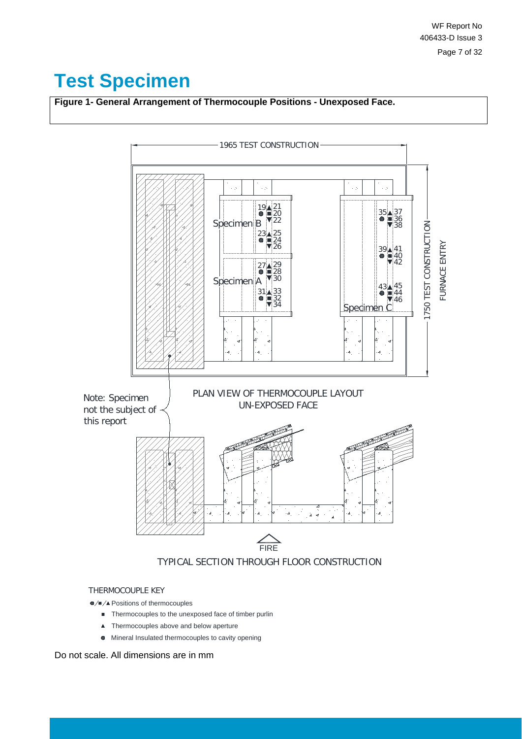WF Report No 406433-D Issue 3 Page 7 of 32

# <span id="page-6-0"></span>**Test Specimen**

**Figure 1- General Arrangement of Thermocouple Positions - Unexposed Face.**



### THERMOCOUPLE KEY

 $\bullet/\bullet/\bullet$  Positions of thermocouples

**n** Thermocouples to the unexposed face of timber purlin

l,

- ▲ Thermocouples above and below aperture
- $\bullet$  Mineral Insulated thermocouples to cavity opening

Do not scale. All dimensions are in mm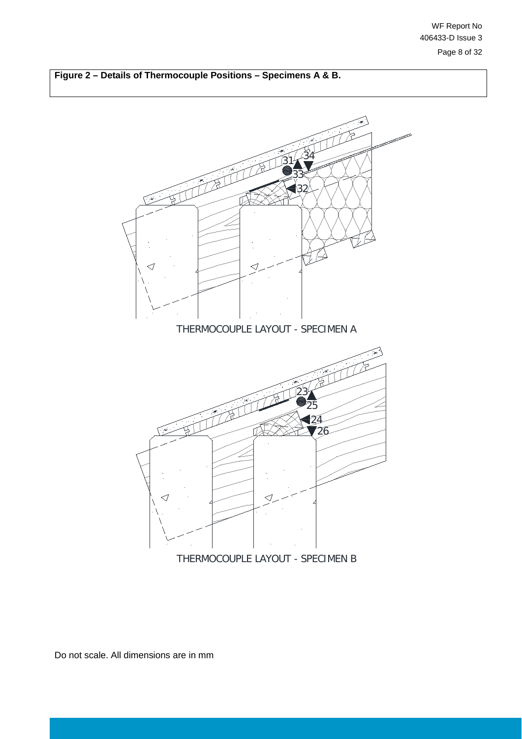**Figure 2 – Details of Thermocouple Positions – Specimens A & B.**



l,

Do not scale. All dimensions are in mm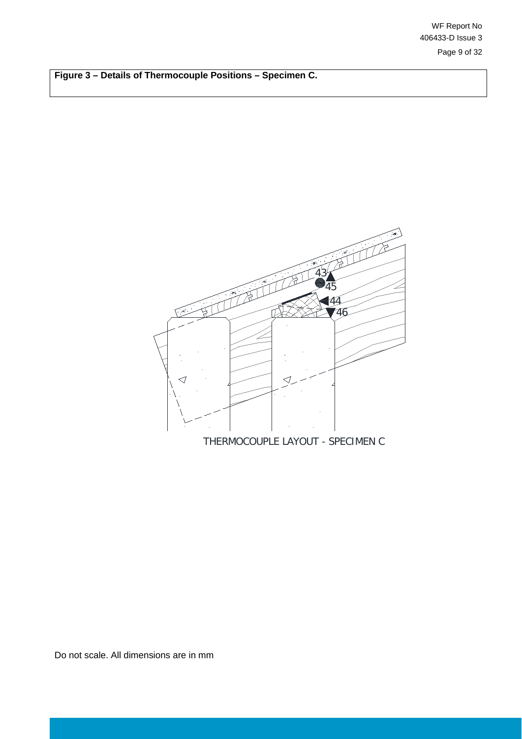WF Report No 406433-D Issue 3 Page 9 of 32

**Figure 3 – Details of Thermocouple Positions – Specimen C.**



Do not scale. All dimensions are in mm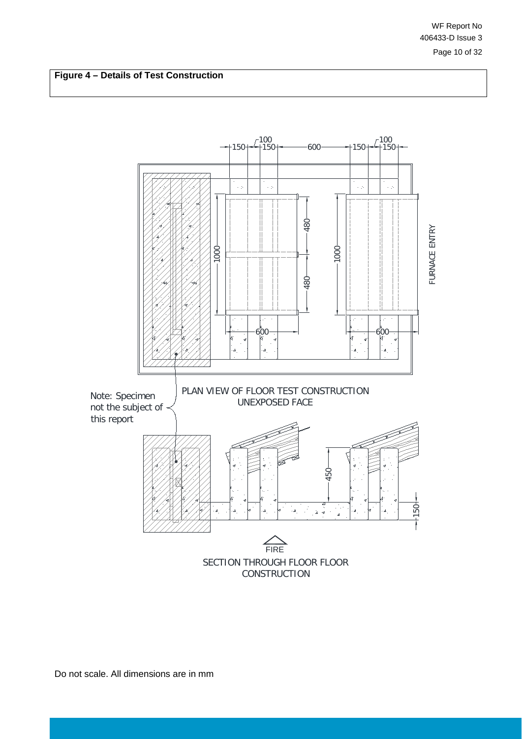WF Report No 406433-D Issue 3 Page 10 of 32

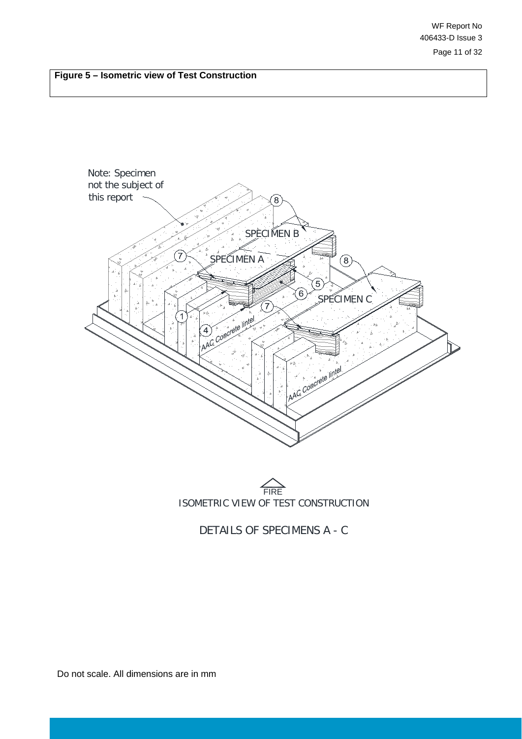WF Report No 406433-D Issue 3 Page 11 of 32

**Figure 5 – Isometric view of Test Construction**





DETAILS OF SPECIMENS A - C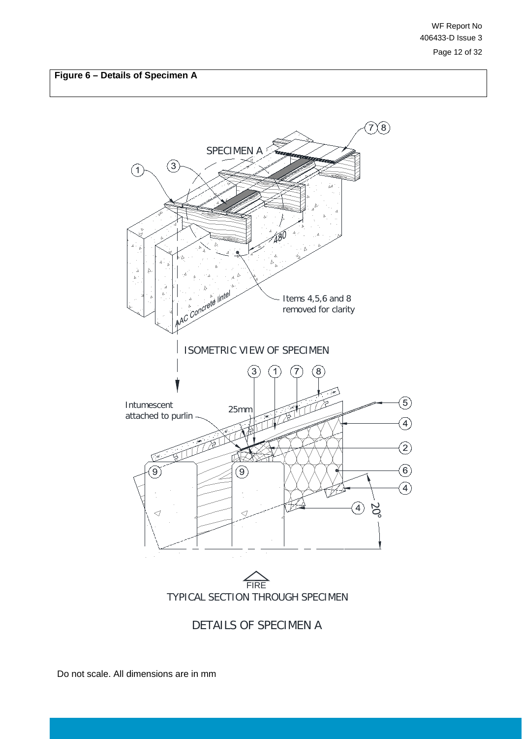

DETAILS OF SPECIMEN A

l,

Do not scale. All dimensions are in mm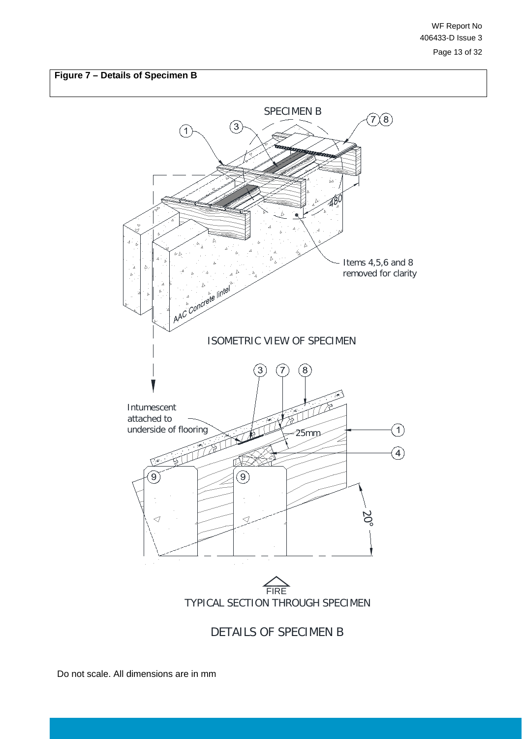



DETAILS OF SPECIMEN B

l,

Do not scale. All dimensions are in mm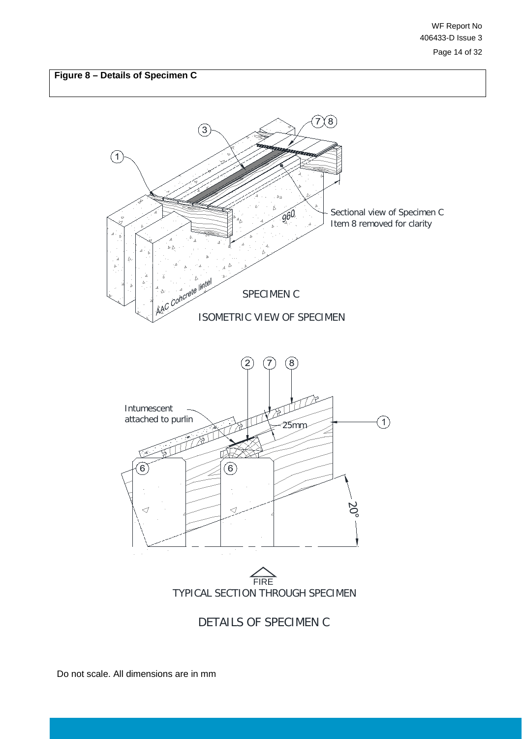

Do not scale. All dimensions are in mm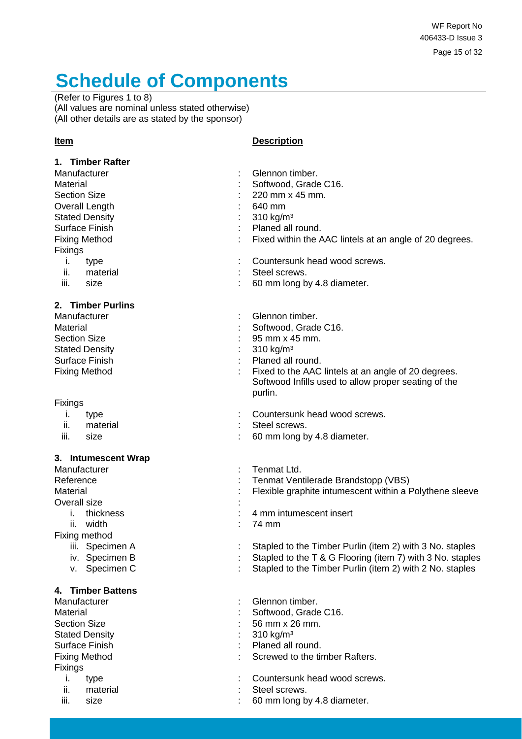WF Report No 406433-D Issue 3 Page 15 of 32

# <span id="page-14-0"></span>**Schedule of Components**

(Refer to Figures 1 to 8) (All values are nominal unless stated otherwise) (All other details are as stated by the sponsor)

# **Item Description**

| 1. Timber Rafter      |                                                                 |
|-----------------------|-----------------------------------------------------------------|
| Manufacturer          | Glennon timber.                                                 |
| Material              | Softwood, Grade C16.                                            |
| <b>Section Size</b>   | 220 mm x 45 mm.                                                 |
| Overall Length        | 640 mm                                                          |
| <b>Stated Density</b> | $310$ kg/m <sup>3</sup>                                         |
| Surface Finish        | Planed all round.                                               |
| <b>Fixing Method</b>  | Fixed within the AAC lintels at an angle of 20 degrees.         |
| Fixings               |                                                                 |
| i.<br>type            | Countersunk head wood screws.                                   |
| ii.<br>material       | Steel screws.                                                   |
| iii.<br>size          | 60 mm long by 4.8 diameter.                                     |
| 2. Timber Purlins     |                                                                 |
| Manufacturer          | Glennon timber.                                                 |
|                       |                                                                 |
| Material              | Softwood, Grade C16.                                            |
| <b>Section Size</b>   | 95 mm x 45 mm.                                                  |
| <b>Stated Density</b> | $310$ kg/m <sup>3</sup>                                         |
| Surface Finish        | Planed all round.                                               |
| <b>Fixing Method</b>  | Fixed to the AAC lintels at an angle of 20 degrees.             |
|                       | Softwood Infills used to allow proper seating of the<br>purlin. |
| Fixings               |                                                                 |
| i.<br>type            | Countersunk head wood screws.                                   |
| ii.<br>material       | Steel screws.                                                   |
| iii.<br>size          | 60 mm long by 4.8 diameter.                                     |
| 3. Intumescent Wrap   |                                                                 |
| Manufacturer          | Tenmat Ltd.                                                     |
|                       |                                                                 |
| Reference             | Tenmat Ventilerade Brandstopp (VBS)                             |
| Material              | Flexible graphite intumescent within a Polythene sleeve         |
| Overall size<br>i.    |                                                                 |
| thickness             | 4 mm intumescent insert                                         |
| ii.<br>width          | 74 mm                                                           |
| Fixing method         |                                                                 |
| iii. Specimen A       | Stapled to the Timber Purlin (item 2) with 3 No. staples        |
| iv. Specimen B        | Stapled to the T & G Flooring (item 7) with 3 No. staples       |
| Specimen C<br>V.      | Stapled to the Timber Purlin (item 2) with 2 No. staples        |
| 4. Timber Battens     |                                                                 |
| Manufacturer          | Glennon timber.                                                 |
| Material              | Softwood, Grade C16.                                            |
| <b>Section Size</b>   | 56 mm x 26 mm.                                                  |
| <b>Stated Density</b> | $310$ kg/m <sup>3</sup>                                         |
| Surface Finish        | Planed all round.                                               |
| <b>Fixing Method</b>  | Screwed to the timber Rafters.                                  |
| Fixings               |                                                                 |
| İ.<br>type            | Countersunk head wood screws.                                   |
| ii.<br>material       | Steel screws.                                                   |
| iii.<br>size          | 60 mm long by 4.8 diameter.                                     |
|                       |                                                                 |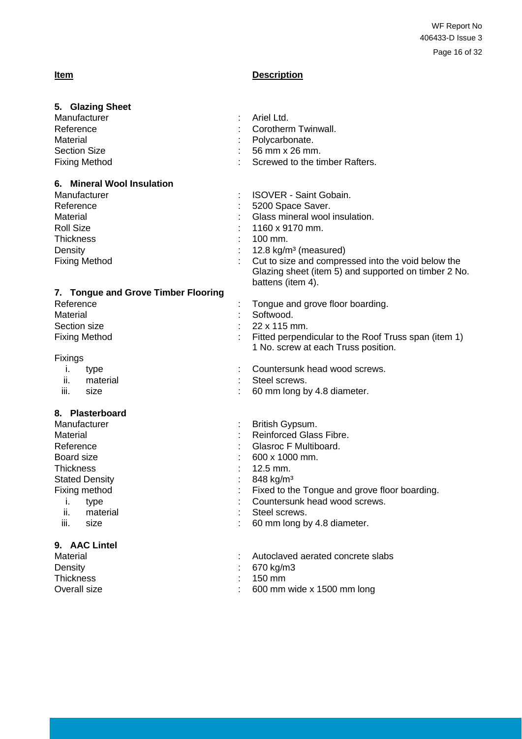# **Item Description**

# **5. Glazing Sheet**

| Manufacturer         | $:$ Ariel Ltd.                   |  |
|----------------------|----------------------------------|--|
| Reference            | : Corotherm Twinwall.            |  |
| Material             | : Polycarbonate.                 |  |
| Section Size         | $\therefore$ 56 mm x 26 mm.      |  |
| <b>Fixing Method</b> | : Screwed to the timber Rafters. |  |
|                      |                                  |  |

## **6. Mineral Wool Insulation**

| Manufacturer         | <b>ISOVER - Saint Gobain.</b>                        |
|----------------------|------------------------------------------------------|
| Reference            | 5200 Space Saver.                                    |
| Material             | Glass mineral wool insulation.                       |
| <b>Roll Size</b>     | $: 1160 \times 9170$ mm.                             |
| <b>Thickness</b>     | $100 \text{ mm}$ .                                   |
| Density              | $: 12.8 \text{ kg/m}^3 \text{ (measured)}$           |
| <b>Fixing Method</b> | : Cut to size and compressed into the void below the |
|                      | Glazing sheet (item 5) and supported on timber 2 No. |

## **7. Tongue and Grove Timber Flooring**

| Reference            | : Tongue and grove floor boarding.                                |  |
|----------------------|-------------------------------------------------------------------|--|
| Material             | : Softwood.                                                       |  |
| Section size         | $\therefore$ 22 x 115 mm.                                         |  |
| <b>Fixing Method</b> | $\therefore$ Fitted perpendicular to the Roof Truss span (item 1) |  |
|                      | 1 No. screw at each Truss position.                               |  |

- Fixings<br>i. type
	- ii. material<br>iii. size
	-

# **8. Plasterboard**

**Manufacturer Material** Reference Board size **Thickness** Stated Density Fixing method ii. material<br>iii. size

## **9. AAC Lintel**

| Material         |
|------------------|
| Density          |
| <b>Thickness</b> |
| Overall size     |

| anufacturer                             | <b>ISOVER - Saint Gobain.</b>                                                               |
|-----------------------------------------|---------------------------------------------------------------------------------------------|
| eference                                | 5200 Space Saver.                                                                           |
| aterial                                 | Glass mineral wool insulation.                                                              |
| oll Size                                | 1160 x 9170 mm.                                                                             |
| hickness                                | 100 mm.                                                                                     |
| ensity                                  | 12.8 kg/m <sup>3</sup> (measured)                                                           |
| xing Method                             | Cut to size and compressed into the void below the                                          |
|                                         | Glazing sheet (item 5) and supported on timber 2 No.                                        |
| <b>Tongue and Grove Timber Flooring</b> | battens (item 4).                                                                           |
| eference                                | Tongue and grove floor boarding.                                                            |
| aterial                                 | Softwood.                                                                                   |
| ection size                             | 22 x 115 mm.                                                                                |
|                                         |                                                                                             |
| xing Method                             | Fitted perpendicular to the Roof Truss span (item 1)<br>1 No. screw at each Truss position. |
| xings                                   |                                                                                             |
| Îε.<br>type                             | Countersunk head wood screws.                                                               |
| ii.<br>material                         | Steel screws.                                                                               |
| iii.<br>size                            | 60 mm long by 4.8 diameter.                                                                 |
| <b>Plasterboard</b>                     |                                                                                             |
| anufacturer                             | British Gypsum.                                                                             |
| aterial                                 | Reinforced Glass Fibre.                                                                     |
| eference                                | Glasroc F Multiboard.                                                                       |
| oard size                               | 600 x 1000 mm.                                                                              |
| hickness                                | $12.5$ mm.                                                                                  |
| tated Density                           | 848 kg/m <sup>3</sup>                                                                       |
| xing method                             | Fixed to the Tongue and grove floor boarding.                                               |
| i.<br>type                              | Countersunk head wood screws.                                                               |
| ii.<br>material                         | Steel screws.                                                                               |
| size<br>iii.                            | 60 mm long by 4.8 diameter.                                                                 |
|                                         |                                                                                             |
|                                         |                                                                                             |

: Autoclaved aerated concrete slabs

- : 670 kg/m3
- $: 150$  mm

l,

 $\therefore$  600 mm wide x 1500 mm long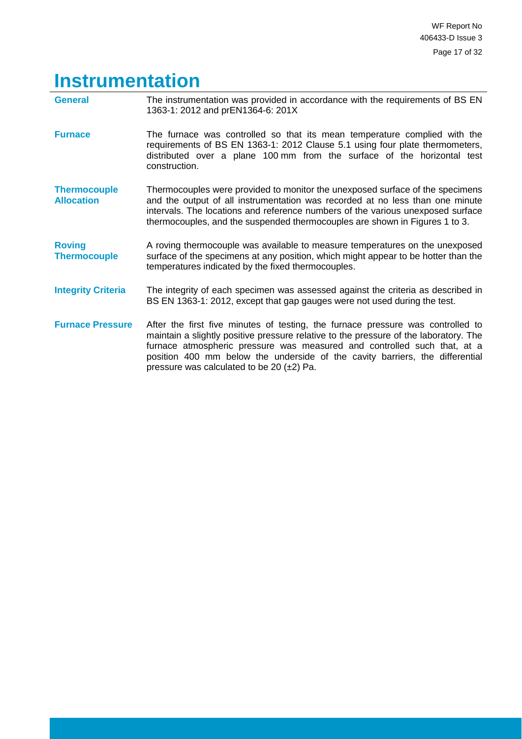# <span id="page-16-0"></span>**Instrumentation**

| <b>General</b>                           | The instrumentation was provided in accordance with the requirements of BS EN<br>1363-1: 2012 and prEN1364-6: 201X                                                                                                                                                                                                                                                                     |
|------------------------------------------|----------------------------------------------------------------------------------------------------------------------------------------------------------------------------------------------------------------------------------------------------------------------------------------------------------------------------------------------------------------------------------------|
| <b>Furnace</b>                           | The furnace was controlled so that its mean temperature complied with the<br>requirements of BS EN 1363-1: 2012 Clause 5.1 using four plate thermometers,<br>distributed over a plane 100 mm from the surface of the horizontal test<br>construction.                                                                                                                                  |
| <b>Thermocouple</b><br><b>Allocation</b> | Thermocouples were provided to monitor the unexposed surface of the specimens<br>and the output of all instrumentation was recorded at no less than one minute<br>intervals. The locations and reference numbers of the various unexposed surface<br>thermocouples, and the suspended thermocouples are shown in Figures 1 to 3.                                                       |
| <b>Roving</b><br><b>Thermocouple</b>     | A roving thermocouple was available to measure temperatures on the unexposed<br>surface of the specimens at any position, which might appear to be hotter than the<br>temperatures indicated by the fixed thermocouples.                                                                                                                                                               |
| <b>Integrity Criteria</b>                | The integrity of each specimen was assessed against the criteria as described in<br>BS EN 1363-1: 2012, except that gap gauges were not used during the test.                                                                                                                                                                                                                          |
| <b>Furnace Pressure</b>                  | After the first five minutes of testing, the furnace pressure was controlled to<br>maintain a slightly positive pressure relative to the pressure of the laboratory. The<br>furnace atmospheric pressure was measured and controlled such that, at a<br>position 400 mm below the underside of the cavity barriers, the differential<br>pressure was calculated to be 20 $(\pm 2)$ Pa. |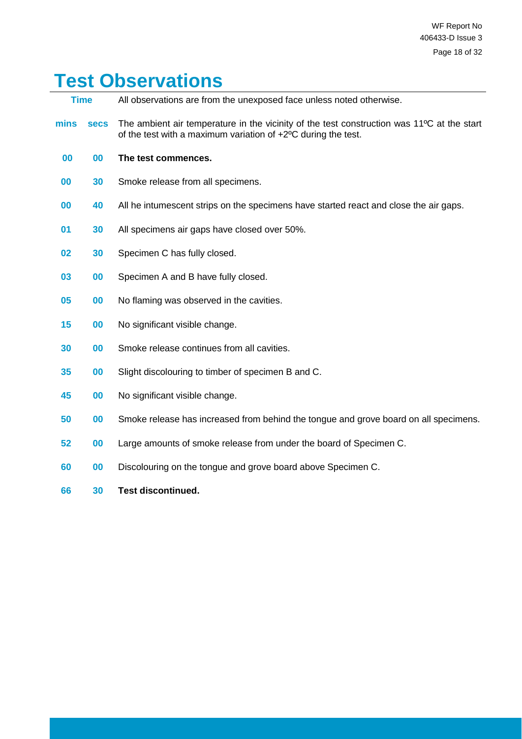# <span id="page-17-0"></span>**Test Observations**

| <b>Time</b> |             | All observations are from the unexposed face unless noted otherwise.                                                                                                  |
|-------------|-------------|-----------------------------------------------------------------------------------------------------------------------------------------------------------------------|
| mins        | <b>Secs</b> | The ambient air temperature in the vicinity of the test construction was 11°C at the start<br>of the test with a maximum variation of $+2^{\circ}$ C during the test. |
| $\bf{00}$   | 00          | The test commences.                                                                                                                                                   |
| 00          | 30          | Smoke release from all specimens.                                                                                                                                     |
| $\bf{00}$   | 40          | All he intumescent strips on the specimens have started react and close the air gaps.                                                                                 |
| 01          | 30          | All specimens air gaps have closed over 50%.                                                                                                                          |
| 02          | 30          | Specimen C has fully closed.                                                                                                                                          |
| 03          | $\bf{00}$   | Specimen A and B have fully closed.                                                                                                                                   |
| 05          | $\bf{00}$   | No flaming was observed in the cavities.                                                                                                                              |
| 15          | $\bf{00}$   | No significant visible change.                                                                                                                                        |
| 30          | 00          | Smoke release continues from all cavities.                                                                                                                            |
| 35          | $\bf{00}$   | Slight discolouring to timber of specimen B and C.                                                                                                                    |
| 45          | $\bf{00}$   | No significant visible change.                                                                                                                                        |
| 50          | 00          | Smoke release has increased from behind the tongue and grove board on all specimens.                                                                                  |
| 52          | 00          | Large amounts of smoke release from under the board of Specimen C.                                                                                                    |
| 60          | 00          | Discolouring on the tongue and grove board above Specimen C.                                                                                                          |
| 66          | 30          | <b>Test discontinued.</b>                                                                                                                                             |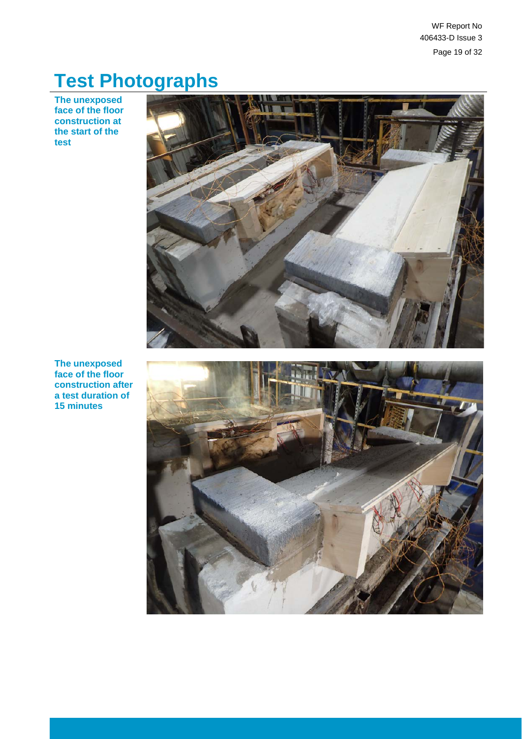WF Report No 406433-D Issue 3 Page 19 of 32

# <span id="page-18-0"></span>**Test Photographs**

**The unexposed face of the floor construction at the start of the test**



l,

**The unexposed face of the floor construction after a test duration of 15 minutes**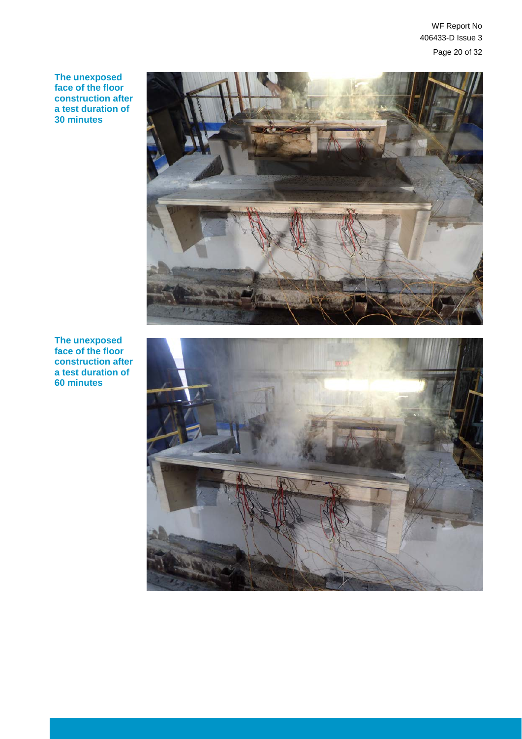WF Report No 406433-D Issue 3 Page 20 of 32

**The unexposed face of the floor construction after a test duration of 30 minutes**



**The unexposed face of the floor construction after a test duration of 60 minutes**

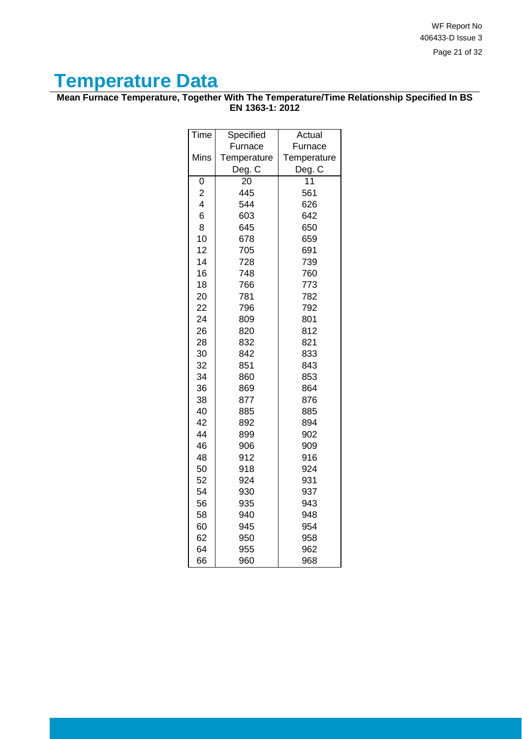WF Report No 406433-D Issue 3 Page 21 of 32

# <span id="page-20-0"></span>**Temperature Data**

## **Mean Furnace Temperature, Together With The Temperature/Time Relationship Specified In BS EN 1363-1: 2012**

| Time           | Specified   | Actual      |
|----------------|-------------|-------------|
|                | Furnace     | Furnace     |
| Mins           | Temperature | Temperature |
|                | Deg. C      | Deg. C      |
| 0              | 20          | 11          |
| $\overline{c}$ | 445         | 561         |
| 4              | 544         | 626         |
| 6              | 603         | 642         |
| 8              | 645         | 650         |
| 10             | 678         | 659         |
| 12             | 705         | 691         |
| 14             | 728         | 739         |
| 16             | 748         | 760         |
| 18             | 766         | 773         |
| 20             | 781         | 782         |
| 22             | 796         | 792         |
| 24             | 809         | 801         |
| 26             | 820         | 812         |
| 28             | 832         | 821         |
| 30             | 842         | 833         |
| 32             | 851         | 843         |
| 34             | 860         | 853         |
| 36             | 869         | 864         |
| 38             | 877         | 876         |
| 40<br>42       | 885<br>892  | 885<br>894  |
| 44             | 899         | 902         |
| 46             | 906         | 909         |
| 48             | 912         | 916         |
| 50             | 918         | 924         |
| 52             | 924         | 931         |
| 54             | 930         | 937         |
| 56             | 935         | 943         |
| 58             | 940         | 948         |
| 60             | 945         | 954         |
| 62             | 950         | 958         |
| 64             | 955         | 962         |
| 66             | 960         | 968         |
|                |             |             |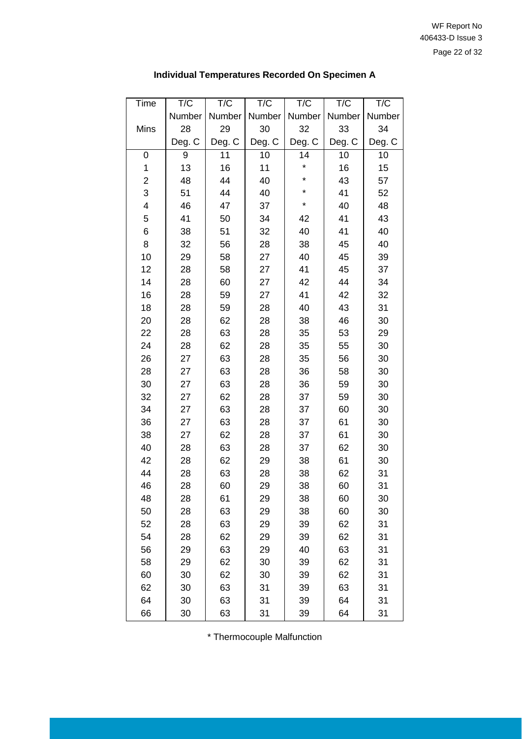| Time | T/C    | T/C    | T/C    | T/C     | T/C    | T/C    |
|------|--------|--------|--------|---------|--------|--------|
|      | Number | Number | Number | Number  | Number | Number |
| Mins | 28     | 29     | 30     | 32      | 33     | 34     |
|      | Deg. C | Deg. C | Deg. C | Deg. C  | Deg. C | Deg. C |
| 0    | 9      | 11     | 10     | 14      | 10     | 10     |
| 1    | 13     | 16     | 11     | $\star$ | 16     | 15     |
| 2    | 48     | 44     | 40     | $\star$ | 43     | 57     |
| 3    | 51     | 44     | 40     | $\star$ | 41     | 52     |
| 4    | 46     | 47     | 37     | $\star$ | 40     | 48     |
| 5    | 41     | 50     | 34     | 42      | 41     | 43     |
| 6    | 38     | 51     | 32     | 40      | 41     | 40     |
| 8    | 32     | 56     | 28     | 38      | 45     | 40     |
| 10   | 29     | 58     | 27     | 40      | 45     | 39     |
| 12   | 28     | 58     | 27     | 41      | 45     | 37     |
| 14   | 28     | 60     | 27     | 42      | 44     | 34     |
| 16   | 28     | 59     | 27     | 41      | 42     | 32     |
| 18   | 28     | 59     | 28     | 40      | 43     | 31     |
| 20   | 28     | 62     | 28     | 38      | 46     | 30     |
| 22   | 28     | 63     | 28     | 35      | 53     | 29     |
| 24   | 28     | 62     | 28     | 35      | 55     | 30     |
| 26   | 27     | 63     | 28     | 35      | 56     | 30     |
| 28   | 27     | 63     | 28     | 36      | 58     | 30     |
| 30   | 27     | 63     | 28     | 36      | 59     | 30     |
| 32   | 27     | 62     | 28     | 37      | 59     | 30     |
| 34   | 27     | 63     | 28     | 37      | 60     | 30     |
| 36   | 27     | 63     | 28     | 37      | 61     | 30     |
| 38   | 27     | 62     | 28     | 37      | 61     | 30     |
| 40   | 28     | 63     | 28     | 37      | 62     | 30     |
| 42   | 28     | 62     | 29     | 38      | 61     | 30     |
| 44   | 28     | 63     | 28     | 38      | 62     | 31     |
| 46   | 28     | 60     | 29     | 38      | 60     | 31     |
| 48   | 28     | 61     | 29     | 38      | 60     | 30     |
| 50   | 28     | 63     | 29     | 38      | 60     | 30     |
| 52   | 28     | 63     | 29     | 39      | 62     | 31     |
| 54   | 28     | 62     | 29     | 39      | 62     | 31     |
| 56   | 29     | 63     | 29     | 40      | 63     | 31     |
| 58   | 29     | 62     | 30     | 39      | 62     | 31     |
| 60   | 30     | 62     | 30     | 39      | 62     | 31     |
| 62   | 30     | 63     | 31     | 39      | 63     | 31     |
| 64   | 30     | 63     | 31     | 39      | 64     | 31     |
| 66   | 30     | 63     | 31     | 39      | 64     | 31     |

# **Individual Temperatures Recorded On Specimen A**

\* Thermocouple Malfunction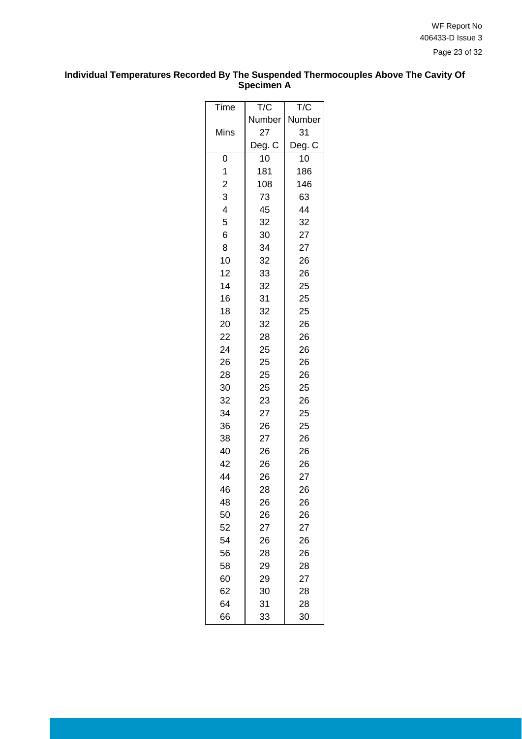## **Individual Temperatures Recorded By The Suspended Thermocouples Above The Cavity Of Specimen A**

| Time                    | T/C    | T/C    |
|-------------------------|--------|--------|
|                         | Number | Number |
| Mins                    | 27     | 31     |
|                         | Deg. C | Deg. C |
| 0                       | 10     | 10     |
| $\mathbf{1}$            | 181    | 186    |
| $\overline{\mathbf{c}}$ | 108    | 146    |
| 3                       | 73     | 63     |
| 4                       | 45     | 44     |
| 5                       | 32     | 32     |
| 6                       | 30     | 27     |
| 8                       | 34     | 27     |
| 10                      | 32     | 26     |
| 12                      | 33     | 26     |
| 14                      | 32     | 25     |
| 16                      | 31     | 25     |
| 18                      | 32     | 25     |
| 20                      | 32     | 26     |
| 22                      | 28     | 26     |
| 24                      | 25     | 26     |
| 26                      | 25     | 26     |
| 28                      | 25     | 26     |
| 30                      | 25     | 25     |
| 32                      | 23     | 26     |
| 34                      | 27     | 25     |
| 36                      | 26     | 25     |
| 38                      | 27     | 26     |
| 40                      | 26     | 26     |
| 42                      | 26     | 26     |
| 44                      | 26     | 27     |
| 46                      | 28     | 26     |
| 48                      | 26     | 26     |
| 50                      | 26     | 26     |
| 52                      | 27     | 27     |
| 54                      | 26     | 26     |
| 56                      | 28     | 26     |
| 58                      | 29     | 28     |
| 60                      | 29     | 27     |
| 62                      | 30     | 28     |
| 64                      | 31     | 28     |
| 66                      | 33     | 30     |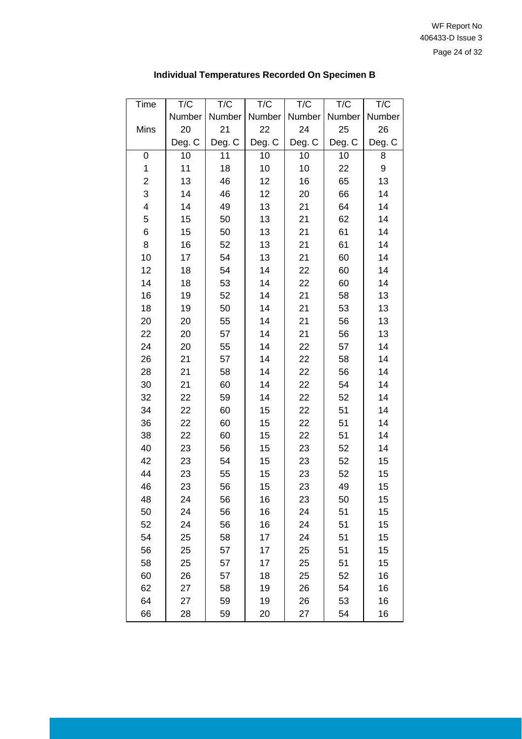| <b>Time</b> | T/C    | T/C    | T/C    | T/C    | T/C    | T/C    |
|-------------|--------|--------|--------|--------|--------|--------|
|             | Number | Number | Number | Number | Number | Number |
| Mins        | 20     | 21     | 22     | 24     | 25     | 26     |
|             | Deg. C | Deg. C | Deg. C | Deg. C | Deg. C | Deg. C |
| 0           | 10     | 11     | 10     | 10     | 10     | 8      |
| 1           | 11     | 18     | 10     | 10     | 22     | 9      |
| 2           | 13     | 46     | 12     | 16     | 65     | 13     |
| 3           | 14     | 46     | 12     | 20     | 66     | 14     |
| 4           | 14     | 49     | 13     | 21     | 64     | 14     |
| 5           | 15     | 50     | 13     | 21     | 62     | 14     |
| 6           | 15     | 50     | 13     | 21     | 61     | 14     |
| 8           | 16     | 52     | 13     | 21     | 61     | 14     |
| 10          | 17     | 54     | 13     | 21     | 60     | 14     |
| 12          | 18     | 54     | 14     | 22     | 60     | 14     |
| 14          | 18     | 53     | 14     | 22     | 60     | 14     |
| 16          | 19     | 52     | 14     | 21     | 58     | 13     |
| 18          | 19     | 50     | 14     | 21     | 53     | 13     |
| 20          | 20     | 55     | 14     | 21     | 56     | 13     |
| 22          | 20     | 57     | 14     | 21     | 56     | 13     |
| 24          | 20     | 55     | 14     | 22     | 57     | 14     |
| 26          | 21     | 57     | 14     | 22     | 58     | 14     |
| 28          | 21     | 58     | 14     | 22     | 56     | 14     |
| 30          | 21     | 60     | 14     | 22     | 54     | 14     |
| 32          | 22     | 59     | 14     | 22     | 52     | 14     |
| 34          | 22     | 60     | 15     | 22     | 51     | 14     |
| 36          | 22     | 60     | 15     | 22     | 51     | 14     |
| 38          | 22     | 60     | 15     | 22     | 51     | 14     |
| 40          | 23     | 56     | 15     | 23     | 52     | 14     |
| 42          | 23     | 54     | 15     | 23     | 52     | 15     |
| 44          | 23     | 55     | 15     | 23     | 52     | 15     |
| 46          | 23     | 56     | 15     | 23     | 49     | 15     |
| 48          | 24     | 56     | 16     | 23     | 50     | 15     |
| 50          | 24     | 56     | 16     | 24     | 51     | 15     |
| 52          | 24     | 56     | 16     | 24     | 51     | 15     |
| 54          | 25     | 58     | 17     | 24     | 51     | 15     |
| 56          | 25     | 57     | 17     | 25     | 51     | 15     |
| 58          | 25     | 57     | 17     | 25     | 51     | 15     |
| 60          | 26     | 57     | 18     | 25     | 52     | 16     |
| 62          | 27     | 58     | 19     | 26     | 54     | 16     |
| 64          | 27     | 59     | 19     | 26     | 53     | 16     |
| 66          | 28     | 59     | 20     | 27     | 54     | 16     |

l,

# **Individual Temperatures Recorded On Specimen B**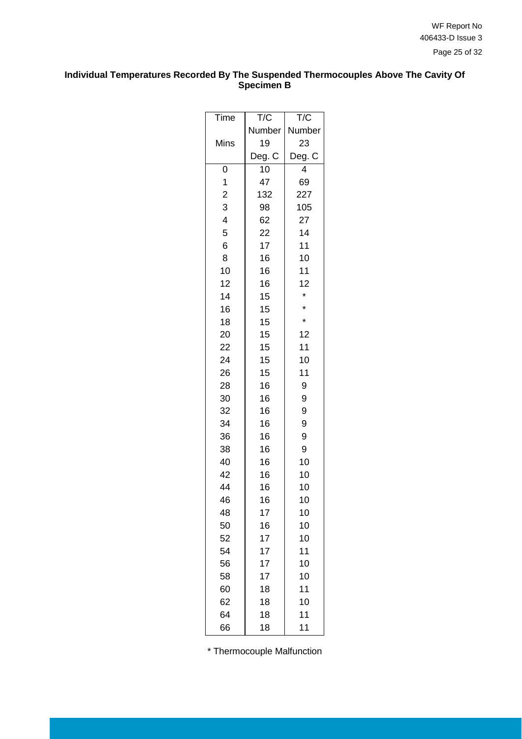## **Individual Temperatures Recorded By The Suspended Thermocouples Above The Cavity Of Specimen B**

| Time                    | T/C    | T/C     |
|-------------------------|--------|---------|
|                         | Number | Number  |
| Mins                    | 19     | 23      |
|                         | Deg. C | Deg. C  |
| 0                       | 10     | 4       |
| 1                       | 47     | 69      |
| $\overline{\mathbf{c}}$ | 132    | 227     |
| 3                       | 98     | 105     |
| $\overline{4}$          | 62     | 27      |
| 5                       | 22     | 14      |
| 6                       | 17     | 11      |
| 8                       | 16     | 10      |
| 10                      | 16     | 11      |
| 12                      | 16     | 12      |
| 14                      | 15     | $\star$ |
| 16                      | 15     | $\star$ |
| 18                      | 15     | $\star$ |
| 20                      | 15     | 12      |
| 22                      | 15     | 11      |
| 24                      | 15     | 10      |
| 26                      | 15     | 11      |
| 28                      | 16     | 9       |
| 30                      | 16     | 9       |
| 32                      | 16     | 9       |
| 34                      | 16     | 9       |
| 36                      | 16     | 9       |
| 38                      | 16     | 9       |
| 40                      | 16     | 10      |
| 42                      | 16     | 10      |
| 44                      | 16     | 10      |
| 46                      | 16     | 10      |
| 48                      | 17     | 10      |
| 50                      | 16     | 10      |
| 52                      | 17     | 10      |
| 54                      | 17     | 11      |
| 56                      | 17     | 10      |
| 58                      | 17     | 10      |
| 60                      | 18     | 11      |
| 62                      | 18     | 10      |
| 64                      | 18     | 11      |
| 66                      | 18     | 11      |

\* Thermocouple Malfunction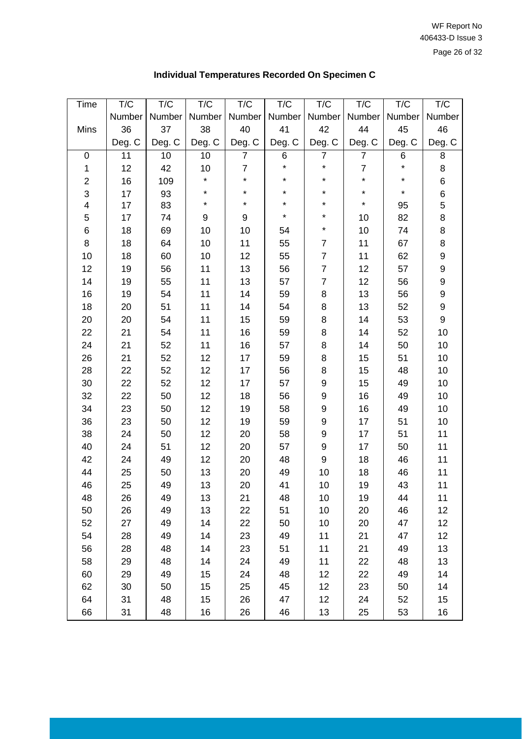| Time                    | T/C    | T/C    | T/C              | T/C            | T/C     | T/C              | T/C            | T/C     | T/C              |
|-------------------------|--------|--------|------------------|----------------|---------|------------------|----------------|---------|------------------|
|                         | Number | Number | Number           | Number         | Number  | Number           | Number         | Number  | Number           |
| Mins                    | 36     | 37     | 38               | 40             | 41      | 42               | 44             | 45      | 46               |
|                         | Deg. C | Deg. C | Deg. C           | Deg. C         | Deg. C  | Deg. C           | Deg. C         | Deg. C  | Deg. C           |
| $\pmb{0}$               | 11     | 10     | 10               | $\overline{7}$ | $\,6$   | $\overline{7}$   | $\overline{7}$ | 6       | 8                |
| $\mathbf{1}$            | 12     | 42     | 10               | $\overline{7}$ | $\star$ | $\star$          | $\overline{7}$ | $\star$ | 8                |
| $\overline{\mathbf{c}}$ | 16     | 109    | $\star$          | $\star$        | $\star$ | $\star$          | $\star$        | $\star$ | $\,6$            |
| 3                       | 17     | 93     | $^\star$         | $\star$        | $\star$ | *                | $\star$        | $\star$ | $\, 6$           |
| $\overline{\mathbf{4}}$ | 17     | 83     | $^\star$         | $\star$        | $\star$ | $^\star$         | $\star$        | 95      | 5                |
| 5                       | 17     | 74     | $\boldsymbol{9}$ | 9              | $\star$ | *                | 10             | 82      | 8                |
| $\,6$                   | 18     | 69     | 10               | 10             | 54      | *                | 10             | 74      | 8                |
| 8                       | 18     | 64     | 10               | 11             | 55      | $\overline{7}$   | 11             | 67      | $\bf 8$          |
| 10                      | 18     | 60     | 10               | 12             | 55      | $\overline{7}$   | 11             | 62      | $\boldsymbol{9}$ |
| 12                      | 19     | 56     | 11               | 13             | 56      | $\overline{7}$   | 12             | 57      | 9                |
| 14                      | 19     | 55     | 11               | 13             | 57      | $\overline{7}$   | 12             | 56      | $\boldsymbol{9}$ |
| 16                      | 19     | 54     | 11               | 14             | 59      | 8                | 13             | 56      | $\boldsymbol{9}$ |
| 18                      | 20     | 51     | 11               | 14             | 54      | 8                | 13             | 52      | $\boldsymbol{9}$ |
| 20                      | 20     | 54     | 11               | 15             | 59      | 8                | 14             | 53      | $\boldsymbol{9}$ |
| 22                      | 21     | 54     | 11               | 16             | 59      | 8                | 14             | 52      | 10               |
| 24                      | 21     | 52     | 11               | 16             | 57      | 8                | 14             | 50      | 10               |
| 26                      | 21     | 52     | 12               | 17             | 59      | 8                | 15             | 51      | 10               |
| 28                      | 22     | 52     | 12               | 17             | 56      | 8                | 15             | 48      | 10               |
| 30                      | 22     | 52     | 12               | 17             | 57      | $\boldsymbol{9}$ | 15             | 49      | 10               |
| 32                      | 22     | 50     | 12               | 18             | 56      | $\boldsymbol{9}$ | 16             | 49      | 10               |
| 34                      | 23     | 50     | 12               | 19             | 58      | $\boldsymbol{9}$ | 16             | 49      | 10               |
| 36                      | 23     | 50     | 12               | 19             | 59      | $\boldsymbol{9}$ | 17             | 51      | 10               |
| 38                      | 24     | 50     | 12               | 20             | 58      | $\boldsymbol{9}$ | 17             | 51      | 11               |
| 40                      | 24     | 51     | 12               | 20             | 57      | $\boldsymbol{9}$ | 17             | 50      | 11               |
| 42                      | 24     | 49     | 12               | 20             | 48      | $\boldsymbol{9}$ | 18             | 46      | 11               |
| 44                      | 25     | 50     | 13               | 20             | 49      | 10               | 18             | 46      | 11               |
| 46                      | 25     | 49     | 13               | 20             | 41      | 10               | 19             | 43      | $11$             |
| 48                      | 26     | 49     | 13               | 21             | 48      | 10               | 19             | 44      | 11               |
| 50                      | 26     | 49     | 13               | 22             | 51      | 10               | 20             | 46      | 12               |
| 52                      | 27     | 49     | 14               | 22             | 50      | 10               | 20             | 47      | 12               |
| 54                      | 28     | 49     | 14               | 23             | 49      | 11               | 21             | 47      | 12               |
| 56                      | 28     | 48     | 14               | 23             | 51      | 11               | 21             | 49      | 13               |
| 58                      | 29     | 48     | 14               | 24             | 49      | 11               | 22             | 48      | 13               |
| 60                      | 29     | 49     | 15               | 24             | 48      | 12               | 22             | 49      | 14               |
| 62                      | 30     | 50     | 15               | 25             | 45      | 12               | 23             | 50      | 14               |
| 64                      | 31     | 48     | 15               | 26             | 47      | 12               | 24             | 52      | 15               |
| 66                      | 31     | 48     | 16               | 26             | 46      | 13               | 25             | 53      | 16               |

l,

# **Individual Temperatures Recorded On Specimen C**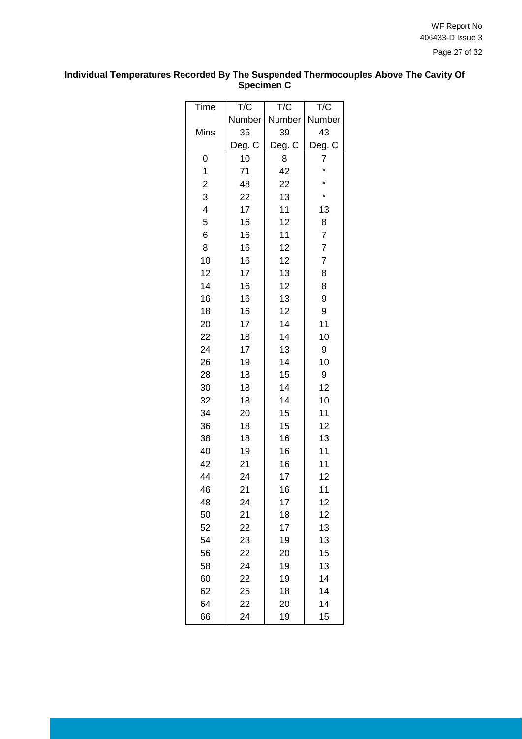## **Individual Temperatures Recorded By The Suspended Thermocouples Above The Cavity Of Specimen C**

| $\overline{T}$ ime      | T/C    | T/C    | T/C            |
|-------------------------|--------|--------|----------------|
|                         | Number | Number | Number         |
| Mins                    | 35     | 39     | 43             |
|                         | Deg. C | Deg. C | Deg. C         |
| 0                       | 10     | 8      | 7              |
| 1                       | 71     | 42     | $\star$        |
| $\overline{\mathbf{c}}$ | 48     | 22     | $\star$        |
| 3                       | 22     | 13     | $\star$        |
| $\overline{\mathbf{4}}$ | 17     | 11     | 13             |
| 5                       | 16     | 12     | 8              |
| 6                       | 16     | 11     | $\overline{7}$ |
| 8                       | 16     | 12     | $\overline{7}$ |
| 10                      | 16     | 12     | $\overline{7}$ |
| 12                      | 17     | 13     | 8              |
| 14                      | 16     | 12     | 8              |
| 16                      | 16     | 13     | 9              |
| 18                      | 16     | 12     | 9              |
| 20                      | 17     | 14     | 11             |
| 22                      | 18     | 14     | 10             |
| 24                      | 17     | 13     | 9              |
| 26                      | 19     | 14     | 10             |
| 28                      | 18     | 15     | 9              |
| 30                      | 18     | 14     | 12             |
| 32                      | 18     | 14     | 10             |
| 34                      | 20     | 15     | 11             |
| 36                      | 18     | 15     | 12             |
| 38                      | 18     | 16     | 13             |
| 40                      | 19     | 16     | 11             |
| 42                      | 21     | 16     | 11             |
| 44                      | 24     | 17     | 12             |
| 46                      | 21     | 16     | 11             |
| 48                      | 24     | 17     | 12             |
| 50                      | 21     | 18     | 12             |
| 52                      | 22     | 17     | 13             |
| 54                      | 23     | 19     | 13             |
| 56                      | 22     | 20     | 15             |
| 58                      | 24     | 19     | 13             |
| 60                      | 22     | 19     | 14             |
| 62                      | 25     | 18     | 14             |
| 64                      | 22     | 20     | 14             |
| 66                      | 24     | 19     | 15             |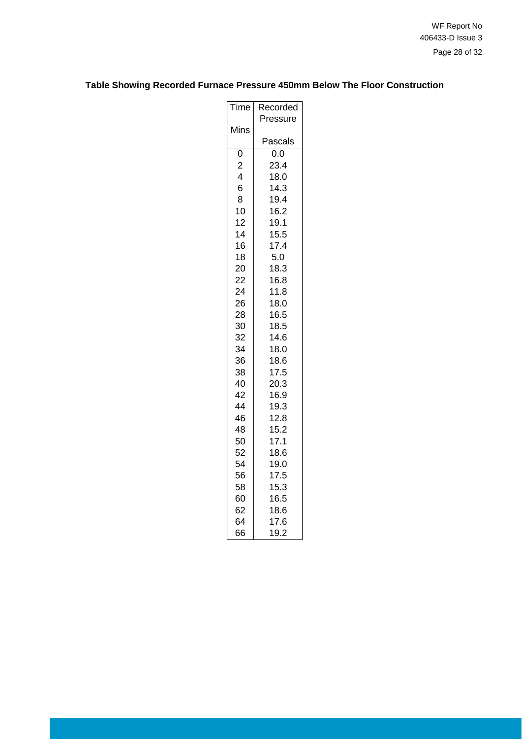# **Table Showing Recorded Furnace Pressure 450mm Below The Floor Construction**

| Time | Recorded |
|------|----------|
|      | Pressure |
| Mins |          |
|      | Pascals  |
| 0    | 0.0      |
| 2    | 23.4     |
| 4    | 18.0     |
| 6    | 14.3     |
| 8    | 19.4     |
| 10   | 16.2     |
| 12   | 19.1     |
| 14   | 15.5     |
| 16   | 17.4     |
| 18   | 5.0      |
| 20   | 18.3     |
| 22   | 16.8     |
| 24   | 11.8     |
| 26   | 18.0     |
| 28   | 16.5     |
| 30   | 18.5     |
| 32   | 14.6     |
| 34   | 18.0     |
| 36   | 18.6     |
| 38   | 17.5     |
| 40   | 20.3     |
| 42   | 16.9     |
| 44   | 19.3     |
| 46   | 12.8     |
| 48   | 15.2     |
| 50   | 17.1     |
| 52   | 18.6     |
| 54   | 19.0     |
| 56   | 17.5     |
| 58   | 15.3     |
| 60   | 16.5     |
| 62   | 18.6     |
| 64   | 17.6     |
| 66   | 19.2     |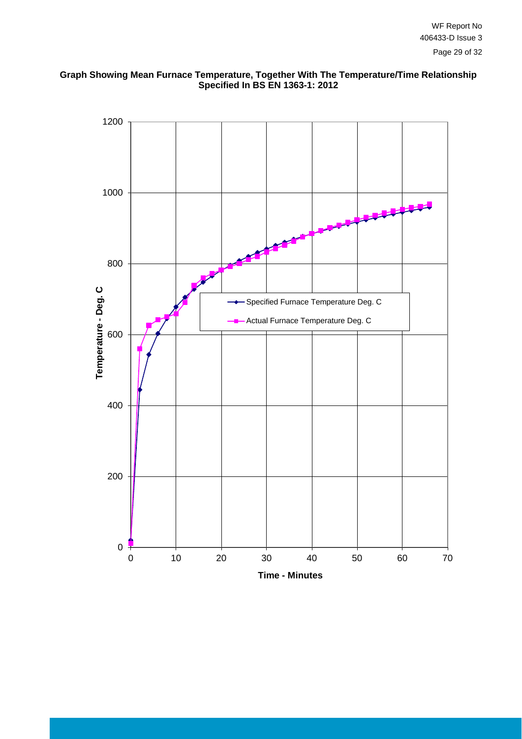# **Graph Showing Mean Furnace Temperature, Together With The Temperature/Time Relationship Specified In BS EN 1363-1: 2012**

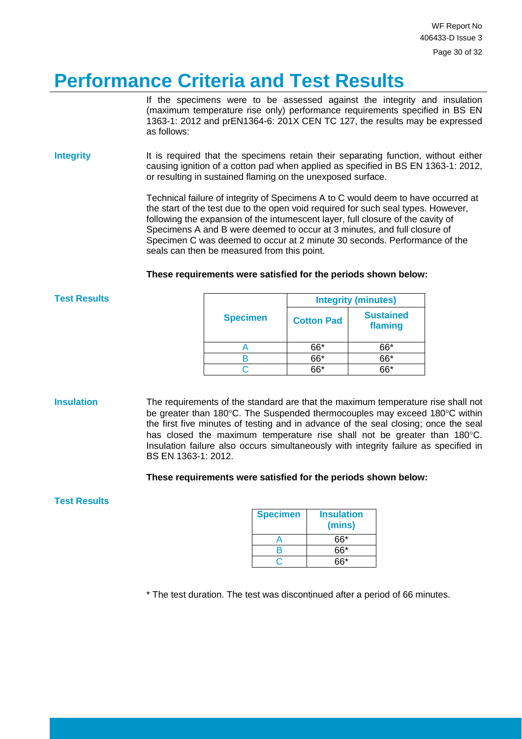# <span id="page-29-0"></span>**Performance Criteria and Test Results**

If the specimens were to be assessed against the integrity and insulation (maximum temperature rise only) performance requirements specified in BS EN 1363-1: 2012 and prEN1364-6: 201X CEN TC 127, the results may be expressed as follows:

**Integrity** It is required that the specimens retain their separating function, without either causing ignition of a cotton pad when applied as specified in BS EN 1363-1: 2012, or resulting in sustained flaming on the unexposed surface.

> Technical failure of integrity of Specimens A to C would deem to have occurred at the start of the test due to the open void required for such seal types. However, following the expansion of the intumescent layer, full closure of the cavity of Specimens A and B were deemed to occur at 3 minutes, and full closure of Specimen C was deemed to occur at 2 minute 30 seconds. Performance of the seals can then be measured from this point.

## **These requirements were satisfied for the periods shown below:**

### **Test Results**

|                 | <b>Integrity (minutes)</b> |                             |  |  |
|-----------------|----------------------------|-----------------------------|--|--|
| <b>Specimen</b> | <b>Cotton Pad</b>          | <b>Sustained</b><br>flaming |  |  |
|                 | 66*                        | 66*                         |  |  |
|                 | 66*                        | 66*                         |  |  |
|                 |                            |                             |  |  |

**Insulation** The requirements of the standard are that the maximum temperature rise shall not be greater than 180°C. The Suspended thermocouples may exceed 180°C within the first five minutes of testing and in advance of the seal closing; once the seal has closed the maximum temperature rise shall not be greater than 180°C. Insulation failure also occurs simultaneously with integrity failure as specified in BS EN 1363-1: 2012.

### **These requirements were satisfied for the periods shown below:**

### **Test Results**

| <b>Specimen</b> | <b>Insulation</b><br>(mins) |
|-----------------|-----------------------------|
|                 | 66*                         |
| R               | $66*$                       |
|                 |                             |

\* The test duration. The test was discontinued after a period of 66 minutes.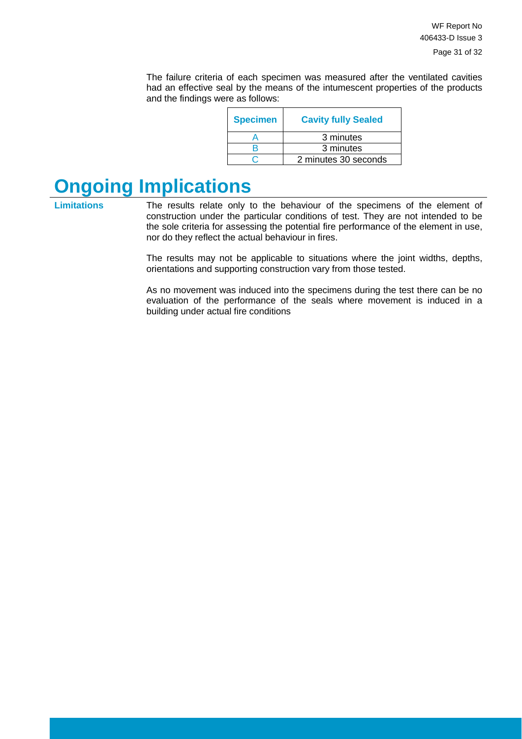The failure criteria of each specimen was measured after the ventilated cavities had an effective seal by the means of the intumescent properties of the products and the findings were as follows:

| <b>Specimen</b> | <b>Cavity fully Sealed</b> |
|-----------------|----------------------------|
|                 | 3 minutes                  |
|                 | 3 minutes                  |
|                 | 2 minutes 30 seconds       |

# <span id="page-30-0"></span>**Ongoing Implications**

**Limitations** The results relate only to the behaviour of the specimens of the element of construction under the particular conditions of test. They are not intended to be the sole criteria for assessing the potential fire performance of the element in use, nor do they reflect the actual behaviour in fires.

> The results may not be applicable to situations where the joint widths, depths, orientations and supporting construction vary from those tested.

> As no movement was induced into the specimens during the test there can be no evaluation of the performance of the seals where movement is induced in a building under actual fire conditions